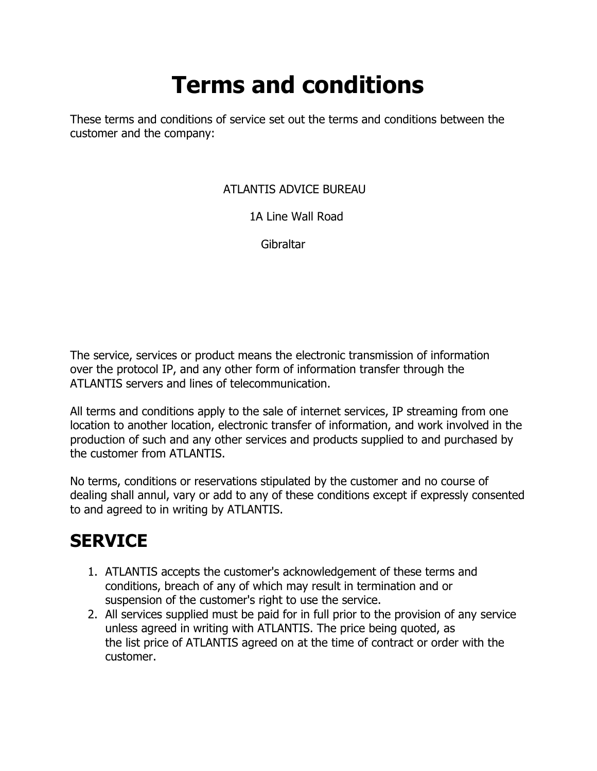# **Terms and conditions**

These terms and conditions of service set out the terms and conditions between the customer and the company:

#### ATLANTIS ADVICE BUREAU

#### 1A Line Wall Road

Gibraltar

The service, services or product means the electronic transmission of information over the protocol IP, and any other form of information transfer through the ATLANTIS servers and lines of telecommunication.

All terms and conditions apply to the sale of internet services, IP streaming from one location to another location, electronic transfer of information, and work involved in the production of such and any other services and products supplied to and purchased by the customer from ATLANTIS.

No terms, conditions or reservations stipulated by the customer and no course of dealing shall annul, vary or add to any of these conditions except if expressly consented to and agreed to in writing by ATLANTIS.

# **SERVICE**

- 1. ATLANTIS accepts the customer's acknowledgement of these terms and conditions, breach of any of which may result in termination and or suspension of the customer's right to use the service.
- 2. All services supplied must be paid for in full prior to the provision of any service unless agreed in writing with ATLANTIS. The price being quoted, as the list price of ATLANTIS agreed on at the time of contract or order with the customer.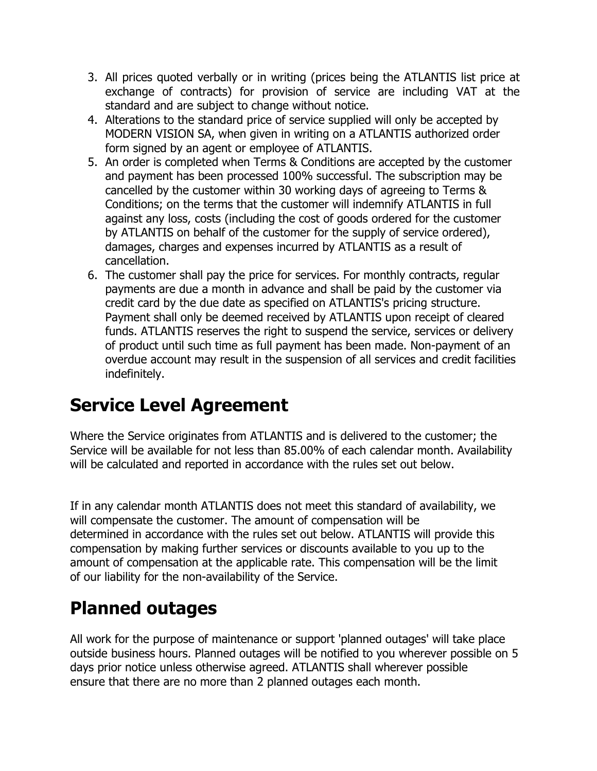- 3. All prices quoted verbally or in writing (prices being the ATLANTIS list price at exchange of contracts) for provision of service are including VAT at the standard and are subject to change without notice.
- 4. Alterations to the standard price of service supplied will only be accepted by MODERN VISION SA, when given in writing on a ATLANTIS authorized order form signed by an agent or employee of ATLANTIS.
- 5. An order is completed when Terms & Conditions are accepted by the customer and payment has been processed 100% successful. The subscription may be cancelled by the customer within 30 working days of agreeing to Terms & Conditions; on the terms that the customer will indemnify ATLANTIS in full against any loss, costs (including the cost of goods ordered for the customer by ATLANTIS on behalf of the customer for the supply of service ordered), damages, charges and expenses incurred by ATLANTIS as a result of cancellation.
- 6. The customer shall pay the price for services. For monthly contracts, regular payments are due a month in advance and shall be paid by the customer via credit card by the due date as specified on ATLANTIS's pricing structure. Payment shall only be deemed received by ATLANTIS upon receipt of cleared funds. ATLANTIS reserves the right to suspend the service, services or delivery of product until such time as full payment has been made. Non-payment of an overdue account may result in the suspension of all services and credit facilities indefinitely.

## **Service Level Agreement**

Where the Service originates from ATLANTIS and is delivered to the customer; the Service will be available for not less than 85.00% of each calendar month. Availability will be calculated and reported in accordance with the rules set out below.

If in any calendar month ATLANTIS does not meet this standard of availability, we will compensate the customer. The amount of compensation will be determined in accordance with the rules set out below. ATLANTIS will provide this compensation by making further services or discounts available to you up to the amount of compensation at the applicable rate. This compensation will be the limit of our liability for the non-availability of the Service.

# **Planned outages**

All work for the purpose of maintenance or support 'planned outages' will take place outside business hours. Planned outages will be notified to you wherever possible on 5 days prior notice unless otherwise agreed. ATLANTIS shall wherever possible ensure that there are no more than 2 planned outages each month.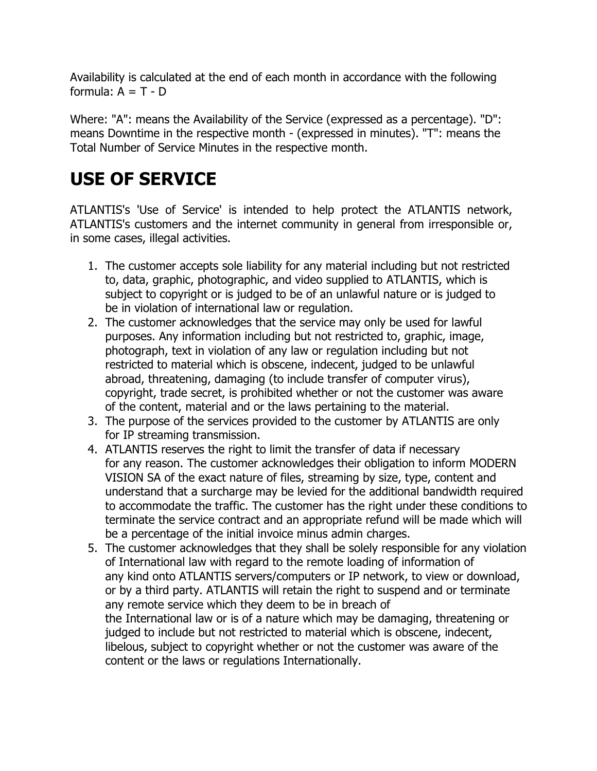Availability is calculated at the end of each month in accordance with the following formula:  $A = T - D$ 

Where: "A": means the Availability of the Service (expressed as a percentage). "D": means Downtime in the respective month - (expressed in minutes). "T": means the Total Number of Service Minutes in the respective month.

# **USE OF SERVICE**

ATLANTIS's 'Use of Service' is intended to help protect the ATLANTIS network, ATLANTIS's customers and the internet community in general from irresponsible or, in some cases, illegal activities.

- 1. The customer accepts sole liability for any material including but not restricted to, data, graphic, photographic, and video supplied to ATLANTIS, which is subject to copyright or is judged to be of an unlawful nature or is judged to be in violation of international law or regulation.
- 2. The customer acknowledges that the service may only be used for lawful purposes. Any information including but not restricted to, graphic, image, photograph, text in violation of any law or regulation including but not restricted to material which is obscene, indecent, judged to be unlawful abroad, threatening, damaging (to include transfer of computer virus), copyright, trade secret, is prohibited whether or not the customer was aware of the content, material and or the laws pertaining to the material.
- 3. The purpose of the services provided to the customer by ATLANTIS are only for IP streaming transmission.
- 4. ATLANTIS reserves the right to limit the transfer of data if necessary for any reason. The customer acknowledges their obligation to inform MODERN VISION SA of the exact nature of files, streaming by size, type, content and understand that a surcharge may be levied for the additional bandwidth required to accommodate the traffic. The customer has the right under these conditions to terminate the service contract and an appropriate refund will be made which will be a percentage of the initial invoice minus admin charges.
- 5. The customer acknowledges that they shall be solely responsible for any violation of International law with regard to the remote loading of information of any kind onto ATLANTIS servers/computers or IP network, to view or download, or by a third party. ATLANTIS will retain the right to suspend and or terminate any remote service which they deem to be in breach of the International law or is of a nature which may be damaging, threatening or judged to include but not restricted to material which is obscene, indecent, libelous, subject to copyright whether or not the customer was aware of the content or the laws or regulations Internationally.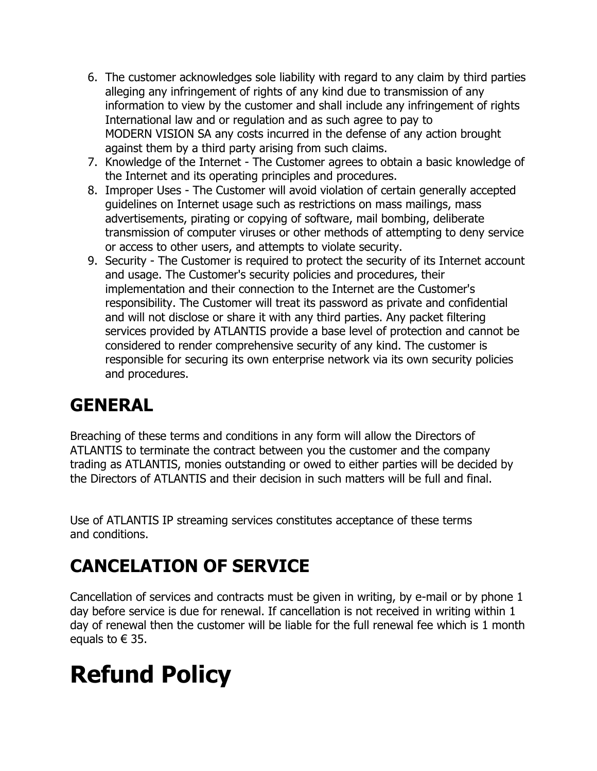- 6. The customer acknowledges sole liability with regard to any claim by third parties alleging any infringement of rights of any kind due to transmission of any information to view by the customer and shall include any infringement of rights International law and or regulation and as such agree to pay to MODERN VISION SA any costs incurred in the defense of any action brought against them by a third party arising from such claims.
- 7. Knowledge of the Internet The Customer agrees to obtain a basic knowledge of the Internet and its operating principles and procedures.
- 8. Improper Uses The Customer will avoid violation of certain generally accepted guidelines on Internet usage such as restrictions on mass mailings, mass advertisements, pirating or copying of software, mail bombing, deliberate transmission of computer viruses or other methods of attempting to deny service or access to other users, and attempts to violate security.
- 9. Security The Customer is required to protect the security of its Internet account and usage. The Customer's security policies and procedures, their implementation and their connection to the Internet are the Customer's responsibility. The Customer will treat its password as private and confidential and will not disclose or share it with any third parties. Any packet filtering services provided by ATLANTIS provide a base level of protection and cannot be considered to render comprehensive security of any kind. The customer is responsible for securing its own enterprise network via its own security policies and procedures.

## **GENERAL**

Breaching of these terms and conditions in any form will allow the Directors of ATLANTIS to terminate the contract between you the customer and the company trading as ATLANTIS, monies outstanding or owed to either parties will be decided by the Directors of ATLANTIS and their decision in such matters will be full and final.

Use of ATLANTIS IP streaming services constitutes acceptance of these terms and conditions.

# **CANCELATION OF SERVICE**

Cancellation of services and contracts must be given in writing, by e-mail or by phone 1 day before service is due for renewal. If cancellation is not received in writing within 1 day of renewal then the customer will be liable for the full renewal fee which is 1 month equals to  $\in$  35.

# **Refund Policy**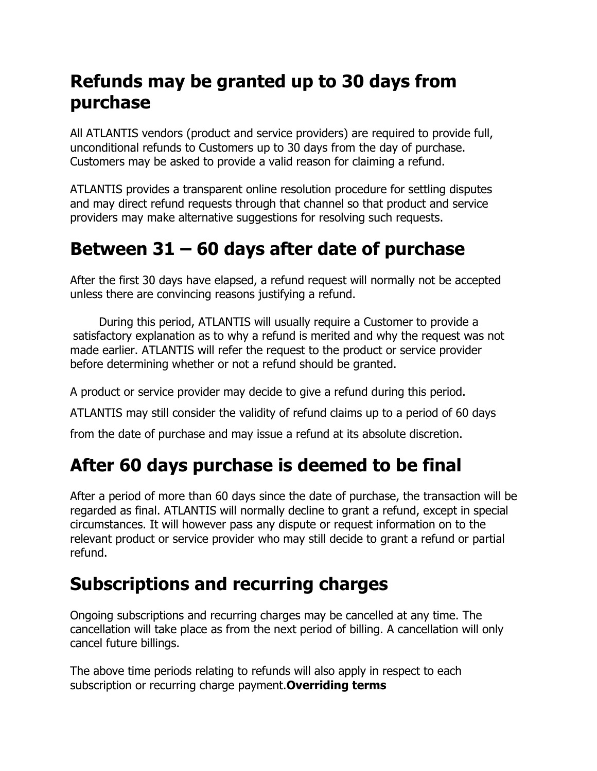## **Refunds may be granted up to 30 days from purchase**

All ATLANTIS vendors (product and service providers) are required to provide full, unconditional refunds to Customers up to 30 days from the day of purchase. Customers may be asked to provide a valid reason for claiming a refund.

ATLANTIS provides a transparent online resolution procedure for settling disputes and may direct refund requests through that channel so that product and service providers may make alternative suggestions for resolving such requests.

#### **Between 31 – 60 days after date of purchase**

After the first 30 days have elapsed, a refund request will normally not be accepted unless there are convincing reasons justifying a refund.

During this period, ATLANTIS will usually require a Customer to provide a satisfactory explanation as to why a refund is merited and why the request was not made earlier. ATLANTIS will refer the request to the product or service provider before determining whether or not a refund should be granted.

A product or service provider may decide to give a refund during this period.

ATLANTIS may still consider the validity of refund claims up to a period of 60 days

from the date of purchase and may issue a refund at its absolute discretion.

# **After 60 days purchase is deemed to be final**

After a period of more than 60 days since the date of purchase, the transaction will be regarded as final. ATLANTIS will normally decline to grant a refund, except in special circumstances. It will however pass any dispute or request information on to the relevant product or service provider who may still decide to grant a refund or partial refund.

#### **Subscriptions and recurring charges**

Ongoing subscriptions and recurring charges may be cancelled at any time. The cancellation will take place as from the next period of billing. A cancellation will only cancel future billings.

The above time periods relating to refunds will also apply in respect to each subscription or recurring charge payment.**Overriding terms**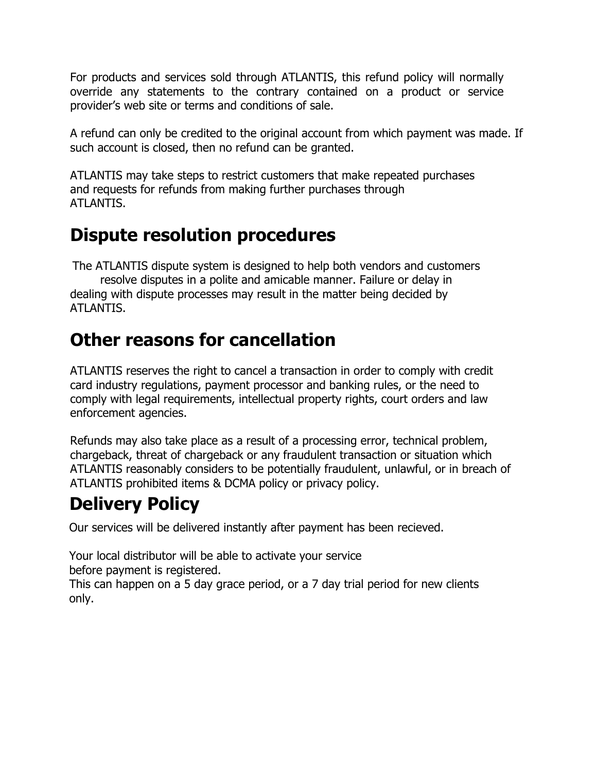For products and services sold through ATLANTIS, this refund policy will normally override any statements to the contrary contained on a product or service provider's web site or terms and conditions of sale.

A refund can only be credited to the original account from which payment was made. If such account is closed, then no refund can be granted.

ATLANTIS may take steps to restrict customers that make repeated purchases and requests for refunds from making further purchases through ATI ANTIS.

#### **Dispute resolution procedures**

The ATLANTIS dispute system is designed to help both vendors and customers resolve disputes in a polite and amicable manner. Failure or delay in dealing with dispute processes may result in the matter being decided by ATLANTIS.

## **Other reasons for cancellation**

ATLANTIS reserves the right to cancel a transaction in order to comply with credit card industry regulations, payment processor and banking rules, or the need to comply with legal requirements, intellectual property rights, court orders and law enforcement agencies.

Refunds may also take place as a result of a processing error, technical problem, chargeback, threat of chargeback or any fraudulent transaction or situation which ATLANTIS reasonably considers to be potentially fraudulent, unlawful, or in breach of ATLANTIS prohibited items & DCMA policy or privacy policy.

# **Delivery Policy**

Our services will be delivered instantly after payment has been recieved.

Your local distributor will be able to activate your service before payment is registered.

This can happen on a 5 day grace period, or a 7 day trial period for new clients only.